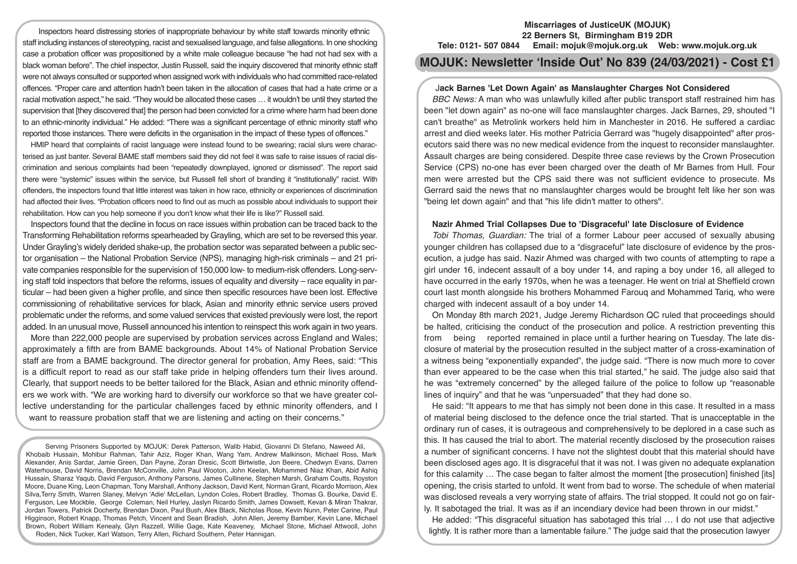Inspectors heard distressing stories of inappropriate behaviour by white staff towards minority ethnic staff including instances of stereotyping, racist and sexualised language, and false allegations. In one shocking case a probation officer was propositioned by a white male colleague because "he had not had sex with a black woman before". The chief inspector, Justin Russell, said the inquiry discovered that minority ethnic staff were not always consulted or supported when assigned work with individuals who had committed race-related offences. "Proper care and attention hadn't been taken in the allocation of cases that had a hate crime or a racial motivation aspect," he said. "They would be allocated these cases … it wouldn't be until they started the supervision that [they discovered that] the person had been convicted for a crime where harm had been done to an ethnic-minority individual." He added: "There was a significant percentage of ethnic minority staff who reported those instances. There were deficits in the organisation in the impact of these types of offences."

HMIP heard that complaints of racist language were instead found to be swearing; racial slurs were characterised as just banter. Several BAME staff members said they did not feel it was safe to raise issues of racial discrimination and serious complaints had been "repeatedly downplayed, ignored or dismissed". The report said there were "systemic" issues within the service, but Russell fell short of branding it "institutionally" racist. With offenders, the inspectors found that little interest was taken in how race, ethnicity or experiences of discrimination had affected their lives. "Probation officers need to find out as much as possible about individuals to support their rehabilitation. How can you help someone if you don't know what their life is like?" Russell said.

Inspectors found that the decline in focus on race issues within probation can be traced back to the Transforming Rehabilitation reforms spearheaded by Grayling, which are set to be reversed this year. Under Grayling's widely derided shake-up, the probation sector was separated between a public sector organisation – the National Probation Service (NPS), managing high-risk criminals – and 21 private companies responsible for the supervision of 150,000 low- to medium-risk offenders. Long-serving staff told inspectors that before the reforms, issues of equality and diversity – race equality in particular – had been given a higher profile, and since then specific resources have been lost. Effective commissioning of rehabilitative services for black, Asian and minority ethnic service users proved problematic under the reforms, and some valued services that existed previously were lost, the report added. In an unusual move, Russell announced his intention to reinspect this work again in two years.

More than 222,000 people are supervised by probation services across England and Wales; approximately a fifth are from BAME backgrounds. About 14% of National Probation Service staff are from a BAME background. The director general for probation, Amy Rees, said: "This is a difficult report to read as our staff take pride in helping offenders turn their lives around. Clearly, that support needs to be better tailored for the Black, Asian and ethnic minority offenders we work with. "We are working hard to diversify our workforce so that we have greater collective understanding for the particular challenges faced by ethnic minority offenders, and I want to reassure probation staff that we are listening and acting on their concerns."

Serving Prisoners Supported by MOJUK: Derek Patterson, Walib Habid, Giovanni Di Stefano, Naweed Ali, Khobaib Hussain, Mohibur Rahman, Tahir Aziz, Roger Khan, Wang Yam, Andrew Malkinson, Michael Ross, Mark Alexander, Anis Sardar, Jamie Green, Dan Payne, Zoran Dresic, Scott Birtwistle, Jon Beere, Chedwyn Evans, Darren Waterhouse, David Norris, Brendan McConville, John Paul Wooton, John Keelan, Mohammed Niaz Khan, Abid Ashiq Hussain, Sharaz Yaqub, David Ferguson, Anthony Parsons, James Cullinene, Stephen Marsh, Graham Coutts, Royston Moore, Duane King, Leon Chapman, Tony Marshall, Anthony Jackson, David Kent, Norman Grant, Ricardo Morrison, Alex Silva,Terry Smith, Warren Slaney, Melvyn 'Adie' McLellan, Lyndon Coles, Robert Bradley, Thomas G. Bourke, David E. Ferguson, Lee Mockble, George Coleman, Neil Hurley, Jaslyn Ricardo Smith, James Dowsett, Kevan & Miran Thakrar, Jordan Towers, Patrick Docherty, Brendan Dixon, Paul Bush, Alex Black, Nicholas Rose, Kevin Nunn, Peter Carine, Paul Higginson, Robert Knapp, Thomas Petch, Vincent and Sean Bradish, John Allen, Jeremy Bamber, Kevin Lane, Michael Brown, Robert William Kenealy, Glyn Razzell, Willie Gage, Kate Keaveney, Michael Stone, Michael Attwooll, John Roden, Nick Tucker, Karl Watson, Terry Allen, Richard Southern, Peter Hannigan.

#### **Miscarriages of JusticeUK (MOJUK) 22 Berners St, Birmingham B19 2DR Tele: 0121- 507 0844 Email: mojuk@mojuk.org.uk Web: www.mojuk.org.uk**

# **MOJUK: Newsletter 'Inside Out' No 839 (24/03/2021) - Cost £1**

## J**ack Barnes 'Let Down Again' as Manslaughter Charges Not Considered**

*BBC News:* A man who was unlawfully killed after public transport staff restrained him has been "let down again" as no-one will face manslaughter charges. Jack Barnes, 29, shouted "I can't breathe" as Metrolink workers held him in Manchester in 2016. He suffered a cardiac arrest and died weeks later. His mother Patricia Gerrard was "hugely disappointed" after prosecutors said there was no new medical evidence from the inquest to reconsider manslaughter. Assault charges are being considered. Despite three case reviews by the Crown Prosecution Service (CPS) no-one has ever been charged over the death of Mr Barnes from Hull. Four men were arrested but the CPS said there was not sufficient evidence to prosecute. Ms Gerrard said the news that no manslaughter charges would be brought felt like her son was "being let down again" and that "his life didn't matter to others".

## **Nazir Ahmed Trial Collapses Due to 'Disgraceful' late Disclosure of Evidence**

*Tobi Thomas, Guardian:* The trial of a former Labour peer accused of sexually abusing younger children has collapsed due to a "disgraceful" late disclosure of evidence by the prosecution, a judge has said. Nazir Ahmed was charged with two counts of attempting to rape a girl under 16, indecent assault of a boy under 14, and raping a boy under 16, all alleged to have occurred in the early 1970s, when he was a teenager. He went on trial at Sheffield crown court last month alongside his brothers Mohammed Farouq and Mohammed Tariq, who were charged with indecent assault of a boy under 14.

On Monday 8th march 2021, Judge Jeremy Richardson QC ruled that proceedings should be halted, criticising the conduct of the prosecution and police. A restriction preventing this from being reported remained in place until a further hearing on Tuesday. The late disclosure of material by the prosecution resulted in the subject matter of a cross-examination of a witness being "exponentially expanded", the judge said. "There is now much more to cover than ever appeared to be the case when this trial started," he said. The judge also said that he was "extremely concerned" by the alleged failure of the police to follow up "reasonable lines of inquiry" and that he was "unpersuaded" that they had done so.

He said: "It appears to me that has simply not been done in this case. It resulted in a mass of material being disclosed to the defence once the trial started. That is unacceptable in the ordinary run of cases, it is outrageous and comprehensively to be deplored in a case such as this. It has caused the trial to abort. The material recently disclosed by the prosecution raises a number of significant concerns. I have not the slightest doubt that this material should have been disclosed ages ago. It is disgraceful that it was not. I was given no adequate explanation for this calamity ... The case began to falter almost the moment [the prosecution] finished [its] opening, the crisis started to unfold. It went from bad to worse. The schedule of when material was disclosed reveals a very worrying state of affairs. The trial stopped. It could not go on fairly. It sabotaged the trial. It was as if an incendiary device had been thrown in our midst."

He added: "This disgraceful situation has sabotaged this trial … I do not use that adjective lightly. It is rather more than a lamentable failure." The judge said that the prosecution lawyer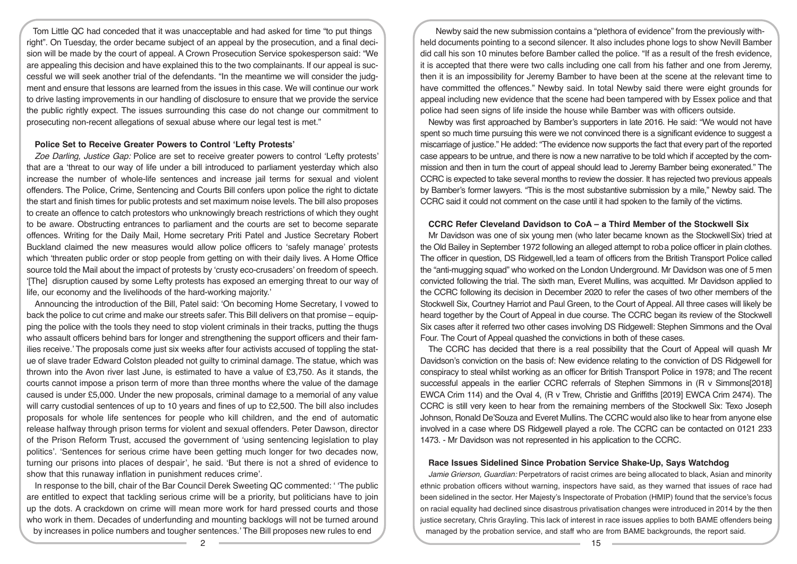Tom Little QC had conceded that it was unacceptable and had asked for time "to put things right". On Tuesday, the order became subject of an appeal by the prosecution, and a final decision will be made by the court of appeal. A Crown Prosecution Service spokesperson said: "We are appealing this decision and have explained this to the two complainants. If our appeal is successful we will seek another trial of the defendants. "In the meantime we will consider the judgment and ensure that lessons are learned from the issues in this case. We will continue our work to drive lasting improvements in our handling of disclosure to ensure that we provide the service the public rightly expect. The issues surrounding this case do not change our commitment to prosecuting non-recent allegations of sexual abuse where our legal test is met."

## **Police Set to Receive Greater Powers to Control 'Lefty Protests'**

*Zoe Darling, Justice Gap:* Police are set to receive greater powers to control 'Lefty protests' that are a 'threat to our way of life under a bill introduced to parliament yesterday which also increase the number of whole-life sentences and increase jail terms for sexual and violent offenders. The Police, Crime, Sentencing and Courts Bill confers upon police the right to dictate the start and finish times for public protests and set maximum noise levels. The bill also proposes to create an offence to catch protestors who unknowingly breach restrictions of which they ought to be aware. Obstructing entrances to parliament and the courts are set to become separate offences. Writing for the Daily Mail, Home secretary Priti Patel and Justice Secretary Robert Buckland claimed the new measures would allow police officers to 'safely manage' protests which 'threaten public order or stop people from getting on with their daily lives. A Home Office source told the Mail about the impact of protests by 'crusty eco-crusaders' on freedom of speech. '[The] disruption caused by some Lefty protests has exposed an emerging threat to our way of life, our economy and the livelihoods of the hard-working majority.'

Announcing the introduction of the Bill, Patel said: 'On becoming Home Secretary, I vowed to back the police to cut crime and make our streets safer. This Bill delivers on that promise – equipping the police with the tools they need to stop violent criminals in their tracks, putting the thugs who assault officers behind bars for longer and strengthening the support officers and their families receive.' The proposals come just six weeks after four activists accused of toppling the statue of slave trader Edward Colston pleaded not guilty to criminal damage. The statue, which was thrown into the Avon river last June, is estimated to have a value of £3,750. As it stands, the courts cannot impose a prison term of more than three months where the value of the damage caused is under £5,000. Under the new proposals, criminal damage to a memorial of any value will carry custodial sentences of up to 10 years and fines of up to £2,500. The bill also includes proposals for whole life sentences for people who kill children, and the end of automatic release halfway through prison terms for violent and sexual offenders. Peter Dawson, director of the Prison Reform Trust, accused the government of 'using sentencing legislation to play politics'. 'Sentences for serious crime have been getting much longer for two decades now, turning our prisons into places of despair', he said. 'But there is not a shred of evidence to show that this runaway inflation in punishment reduces crime'.

In response to the bill, chair of the Bar Council Derek Sweeting QC commented: ' 'The public are entitled to expect that tackling serious crime will be a priority, but politicians have to join up the dots. A crackdown on crime will mean more work for hard pressed courts and those who work in them. Decades of underfunding and mounting backlogs will not be turned around by increases in police numbers and tougher sentences.' The Bill proposes new rules to end

Newby said the new submission contains a "plethora of evidence" from the previously withheld documents pointing to a second silencer. It also includes phone logs to show Nevill Bamber did call his son 10 minutes before Bamber called the police. "If as a result of the fresh evidence, it is accepted that there were two calls including one call from his father and one from Jeremy, then it is an impossibility for Jeremy Bamber to have been at the scene at the relevant time to have committed the offences." Newby said. In total Newby said there were eight grounds for appeal including new evidence that the scene had been tampered with by Essex police and that police had seen signs of life inside the house while Bamber was with officers outside.

Newby was first approached by Bamber's supporters in late 2016. He said: "We would not have spent so much time pursuing this were we not convinced there is a significant evidence to suggest a miscarriage of justice." He added: "The evidence now supports the fact that every part of the reported case appears to be untrue, and there is now a new narrative to be told which if accepted by the commission and then in turn the court of appeal should lead to Jeremy Bamber being exonerated." The CCRC is expected to take several months to review the dossier. It has rejected two previous appeals by Bamber's former lawyers. "This is the most substantive submission by a mile," Newby said. The CCRC said it could not comment on the case until it had spoken to the family of the victims.

#### **CCRC Refer Cleveland Davidson to CoA – a Third Member of the Stockwell Six**

Mr Davidson was one of six young men (who later became known as the StockwellSix) tried at the Old Bailey in September 1972 following an alleged attempt to roba police officer in plain clothes. The officer in question, DS Ridgewell,led a team of officers from the British Transport Police called the "anti-mugging squad" who worked on the London Underground. Mr Davidson was one of 5 men convicted following the trial. The sixth man, Everet Mullins, was acquitted. Mr Davidson applied to the CCRC following its decision in December 2020 to refer the cases of two other members of the Stockwell Six, Courtney Harriot and Paul Green, to the Court of Appeal. All three cases will likely be heard together by the Court of Appeal in due course. The CCRC began its review of the Stockwell Six cases after it referred two other cases involving DS Ridgewell: Stephen Simmons and the Oval Four. The Court of Appeal quashed the convictions in both of these cases.

The CCRC has decided that there is a real possibility that the Court of Appeal will quash Mr Davidson's conviction on the basis of: New evidence relating to the conviction of DS Ridgewell for conspiracy to steal whilst working as an officer for British Transport Police in 1978; and The recent successful appeals in the earlier CCRC referrals of Stephen Simmons in (R v Simmons[2018] EWCA Crim 114) and the Oval 4, (R v Trew, Christie and Griffiths [2019] EWCA Crim 2474). The CCRC is still very keen to hear from the remaining members of the Stockwell Six: Texo Joseph Johnson, Ronald De'Souza and Everet Mullins. The CCRC would also like to hear from anyone else involved in a case where DS Ridgewell played a role. The CCRC can be contacted on 0121 233 1473. - Mr Davidson was not represented in his application to the CCRC.

#### **Race Issues Sidelined Since Probation Service Shake-Up, Says Watchdog**

*Jamie Grierson, Guardian:* Perpetrators of racist crimes are being allocated to black, Asian and minority ethnic probation officers without warning, inspectors have said, as they warned that issues of race had been sidelined in the sector. Her Majesty's Inspectorate of Probation (HMIP) found that the service's focus on racial equality had declined since disastrous privatisation changes were introduced in 2014 by the then justice secretary, Chris Grayling. This lack of interest in race issues applies to both BAME offenders being managed by the probation service, and staff who are from BAME backgrounds, the report said.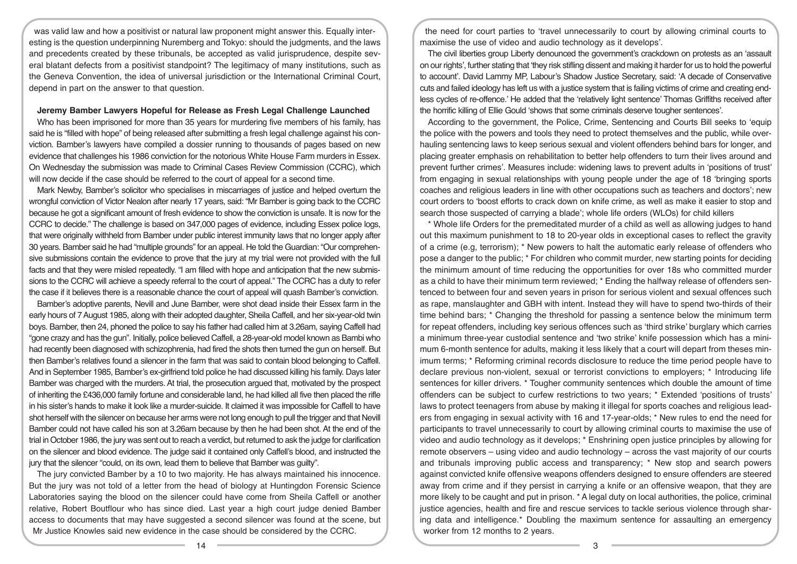was valid law and how a positivist or natural law proponent might answer this. Equally interesting is the question underpinning Nuremberg and Tokyo: should the judgments, and the laws and precedents created by these tribunals, be accepted as valid jurisprudence, despite several blatant defects from a positivist standpoint? The legitimacy of many institutions, such as the Geneva Convention, the idea of universal jurisdiction or the International Criminal Court, depend in part on the answer to that question.

#### **Jeremy Bamber Lawyers Hopeful for Release as Fresh Legal Challenge Launched**

Who has been imprisoned for more than 35 years for murdering five members of his family, has said he is "filled with hope" of being released after submitting a fresh legal challenge against his conviction. Bamber's lawyers have compiled a dossier running to thousands of pages based on new evidence that challenges his 1986 conviction for the notorious White House Farm murders in Essex. On Wednesday the submission was made to Criminal Cases Review Commission (CCRC), which will now decide if the case should be referred to the court of appeal for a second time.

Mark Newby, Bamber's solicitor who specialises in miscarriages of justice and helped overturn the wrongful conviction of Victor Nealon after nearly 17 years, said: "Mr Bamber is going back to the CCRC because he got a significant amount of fresh evidence to show the conviction is unsafe. It is now for the CCRC to decide." The challenge is based on 347,000 pages of evidence, including Essex police logs, that were originally withheld from Bamber under public interest immunity laws that no longer apply after 30 years. Bamber said he had "multiple grounds" for an appeal. He told the Guardian: "Our comprehensive submissions contain the evidence to prove that the jury at my trial were not provided with the full facts and that they were misled repeatedly. "I am filled with hope and anticipation that the new submissions to the CCRC will achieve a speedy referral to the court of appeal." The CCRC has a duty to refer the case if it believes there is a reasonable chance the court of appeal will quash Bamber's conviction.

Bamber's adoptive parents, Nevill and June Bamber, were shot dead inside their Essex farm in the early hours of 7 August 1985, along with their adopted daughter, Sheila Caffell, and her six-year-old twin boys. Bamber, then 24, phoned the police to say his father had called him at 3.26am, saying Caffell had "gone crazy and has the gun". Initially, police believed Caffell, a 28-year-old model known as Bambi who had recently been diagnosed with schizophrenia, had fired the shots then turned the gun on herself. But then Bamber's relatives found a silencer in the farm that was said to contain blood belonging to Caffell. And in September 1985, Bamber's ex-girlfriend told police he had discussed killing his family. Days later Bamber was charged with the murders. At trial, the prosecution argued that, motivated by the prospect of inheriting the £436,000 family fortune and considerable land, he had killed all five then placed the rifle in his sister's hands to make it look like a murder-suicide. It claimed it was impossible for Caffell to have shot herself with the silencer on because her arms were not long enough to pull the trigger and that Nevill Bamber could not have called his son at 3.26am because by then he had been shot. At the end of the trial in October 1986, the jury was sent out to reach a verdict, but returned to ask the judge for clarification on the silencer and blood evidence. The judge said it contained only Caffell's blood, and instructed the jury that the silencer "could, on its own, lead them to believe that Bamber was guilty".

The jury convicted Bamber by a 10 to two majority. He has always maintained his innocence. But the jury was not told of a letter from the head of biology at Huntingdon Forensic Science Laboratories saying the blood on the silencer could have come from Sheila Caffell or another relative, Robert Boutflour who has since died. Last year a high court judge denied Bamber access to documents that may have suggested a second silencer was found at the scene, but Mr Justice Knowles said new evidence in the case should be considered by the CCRC.

the need for court parties to 'travel unnecessarily to court by allowing criminal courts to maximise the use of video and audio technology as it develops'.

The civil liberties group Liberty denounced the government's crackdown on protests as an 'assault on our rights', further stating that 'they risk stifling dissent and making it harder for us to hold the powerful to account'. David Lammy MP, Labour's Shadow Justice Secretary, said: 'A decade of Conservative cuts and failed ideology has left us with a justice system that is failing victims of crime and creating endless cycles of re-offence.' He added that the 'relatively light sentence' Thomas Griffiths received after the horrific killing of Ellie Gould 'shows that some criminals deserve tougher sentences'.

According to the government, the Police, Crime, Sentencing and Courts Bill seeks to 'equip the police with the powers and tools they need to protect themselves and the public, while overhauling sentencing laws to keep serious sexual and violent offenders behind bars for longer, and placing greater emphasis on rehabilitation to better help offenders to turn their lives around and prevent further crimes'. Measures include: widening laws to prevent adults in 'positions of trust' from engaging in sexual relationships with young people under the age of 18 'bringing sports coaches and religious leaders in line with other occupations such as teachers and doctors'; new court orders to 'boost efforts to crack down on knife crime, as well as make it easier to stop and search those suspected of carrying a blade'; whole life orders (WLOs) for child killers

\* Whole life Orders for the premeditated murder of a child as well as allowing judges to hand out this maximum punishment to 18 to 20-year olds in exceptional cases to reflect the gravity of a crime (e.g, terrorism); \* New powers to halt the automatic early release of offenders who pose a danger to the public; \* For children who commit murder, new starting points for deciding the minimum amount of time reducing the opportunities for over 18s who committed murder as a child to have their minimum term reviewed; \* Ending the halfway release of offenders sentenced to between four and seven years in prison for serious violent and sexual offences such as rape, manslaughter and GBH with intent. Instead they will have to spend two-thirds of their time behind bars; \* Changing the threshold for passing a sentence below the minimum term for repeat offenders, including key serious offences such as 'third strike' burglary which carries a minimum three-year custodial sentence and 'two strike' knife possession which has a minimum 6-month sentence for adults, making it less likely that a court will depart from theses minimum terms; \* Reforming criminal records disclosure to reduce the time period people have to declare previous non-violent, sexual or terrorist convictions to employers; \* Introducing life sentences for killer drivers. \* Tougher community sentences which double the amount of time offenders can be subject to curfew restrictions to two years; \* Extended 'positions of trusts' laws to protect teenagers from abuse by making it illegal for sports coaches and religious leaders from engaging in sexual activity with 16 and 17-year-olds; \* New rules to end the need for participants to travel unnecessarily to court by allowing criminal courts to maximise the use of video and audio technology as it develops; \* Enshrining open justice principles by allowing for remote observers – using video and audio technology – across the vast majority of our courts and tribunals improving public access and transparency; \* New stop and search powers against convicted knife offensive weapons offenders designed to ensure offenders are steered away from crime and if they persist in carrying a knife or an offensive weapon, that they are more likely to be caught and put in prison, \* A legal duty on local authorities, the police, criminal justice agencies, health and fire and rescue services to tackle serious violence through sharing data and intelligence.\* Doubling the maximum sentence for assaulting an emergency worker from 12 months to 2 years.

14 3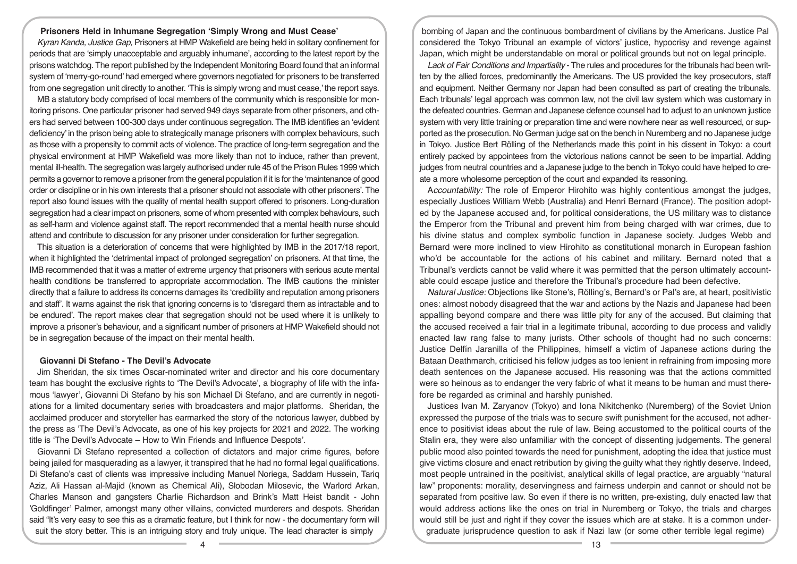# **Prisoners Held in Inhumane Segregation 'Simply Wrong and Must Cease'**

*Kyran Kanda, Justice Gap,* Prisoners at HMP Wakefield are being held in solitary confinement for periods that are 'simply unacceptable and arguably inhumane', according to the latest report by the prisons watchdog. The report published by the Independent Monitoring Board found that an informal system of 'merry-go-round' had emerged where governors negotiated for prisoners to be transferred from one segregation unit directly to another. 'This is simply wrong and must cease,' the report says.

MB a statutory body comprised of local members of the community which is responsible for monitoring prisons. One particular prisoner had served 949 days separate from other prisoners, and others had served between 100-300 days under continuous segregation. The IMB identifies an 'evident deficiency' in the prison being able to strategically manage prisoners with complex behaviours, such as those with a propensity to commit acts of violence. The practice of long-term segregation and the physical environment at HMP Wakefield was more likely than not to induce, rather than prevent, mental ill-health. The segregation was largely authorised under rule 45 of the Prison Rules 1999 which permits a governor to remove a prisoner from the general population if it is for the 'maintenance of good order or discipline or in his own interests that a prisoner should not associate with other prisoners'. The report also found issues with the quality of mental health support offered to prisoners. Long-duration segregation had a clear impact on prisoners, some of whom presented with complex behaviours, such as self-harm and violence against staff. The report recommended that a mental health nurse should attend and contribute to discussion for any prisoner under consideration for further segregation.

This situation is a deterioration of concerns that were highlighted by IMB in the 2017/18 report, when it highlighted the 'detrimental impact of prolonged segregation' on prisoners. At that time, the IMB recommended that it was a matter of extreme urgency that prisoners with serious acute mental health conditions be transferred to appropriate accommodation. The IMB cautions the minister directly that a failure to address its concerns damages its 'credibility and reputation among prisoners and staff'. It warns against the risk that ignoring concerns is to 'disregard them as intractable and to be endured'. The report makes clear that segregation should not be used where it is unlikely to improve a prisoner's behaviour, and a significant number of prisoners at HMP Wakefield should not be in segregation because of the impact on their mental health.

#### **Giovanni Di Stefano - The Devil's Advocate**

Jim Sheridan, the six times Oscar-nominated writer and director and his core documentary team has bought the exclusive rights to 'The Devil's Advocate', a biography of life with the infamous 'lawyer', Giovanni Di Stefano by his son Michael Di Stefano, and are currently in negotiations for a limited documentary series with broadcasters and major platforms. Sheridan, the acclaimed producer and storyteller has earmarked the story of the notorious lawyer, dubbed by the press as 'The Devil's Advocate, as one of his key projects for 2021 and 2022. The working title is 'The Devil's Advocate – How to Win Friends and Influence Despots'.

Giovanni Di Stefano represented a collection of dictators and major crime figures, before being jailed for masquerading as a lawyer, it transpired that he had no formal legal qualifications. Di Stefano's cast of clients was impressive including Manuel Noriega, Saddam Hussein, Tariq Aziz, Ali Hassan al-Majid (known as Chemical Ali), Slobodan Milosevic, the Warlord Arkan, Charles Manson and gangsters Charlie Richardson and Brink's Matt Heist bandit - John 'Goldfinger' Palmer, amongst many other villains, convicted murderers and despots. Sheridan said "It's very easy to see this as a dramatic feature, but I think for now - the documentary form will suit the story better. This is an intriguing story and truly unique. The lead character is simply

bombing of Japan and the continuous bombardment of civilians by the Americans. Justice Pal considered the Tokyo Tribunal an example of victors' justice, hypocrisy and revenge against Japan, which might be understandable on moral or political grounds but not on legal principle.

*Lack of Fair Conditions and Impartiality* - The rules and procedures for the tribunals had been written by the allied forces, predominantly the Americans. The US provided the key prosecutors, staff and equipment. Neither Germany nor Japan had been consulted as part of creating the tribunals. Each tribunals' legal approach was common law, not the civil law system which was customary in the defeated countries. German and Japanese defence counsel had to adjust to an unknown justice system with very little training or preparation time and were nowhere near as well resourced, or supported as the prosecution. No German judge sat on the bench in Nuremberg and no Japanese judge in Tokyo. Justice Bert Rölling of the Netherlands made this point in his dissent in Tokyo: a court entirely packed by appointees from the victorious nations cannot be seen to be impartial. Adding judges from neutral countries and a Japanese judge to the bench in Tokyo could have helped to create a more wholesome perception of the court and expanded its reasoning.

A*ccountability:* The role of Emperor Hirohito was highly contentious amongst the judges, especially Justices William Webb (Australia) and Henri Bernard (France). The position adopted by the Japanese accused and, for political considerations, the US military was to distance the Emperor from the Tribunal and prevent him from being charged with war crimes, due to his divine status and complex symbolic function in Japanese society. Judges Webb and Bernard were more inclined to view Hirohito as constitutional monarch in European fashion who'd be accountable for the actions of his cabinet and military. Bernard noted that a Tribunal's verdicts cannot be valid where it was permitted that the person ultimately accountable could escape justice and therefore the Tribunal's procedure had been defective.

*Natural Justice:* Objections like Stone's, Rölling's, Bernard's or Pal's are, at heart, positivistic ones: almost nobody disagreed that the war and actions by the Nazis and Japanese had been appalling beyond compare and there was little pity for any of the accused. But claiming that the accused received a fair trial in a legitimate tribunal, according to due process and validly enacted law rang false to many jurists. Other schools of thought had no such concerns: Justice Delfín Jaranilla of the Philippines, himself a victim of Japanese actions during the Bataan Deathmarch, criticised his fellow judges as too lenient in refraining from imposing more death sentences on the Japanese accused. His reasoning was that the actions committed were so heinous as to endanger the very fabric of what it means to be human and must therefore be regarded as criminal and harshly punished.

Justices Ivan M. Zaryanov (Tokyo) and Iona Nikitchenko (Nuremberg) of the Soviet Union expressed the purpose of the trials was to secure swift punishment for the accused, not adherence to positivist ideas about the rule of law. Being accustomed to the political courts of the Stalin era, they were also unfamiliar with the concept of dissenting judgements. The general public mood also pointed towards the need for punishment, adopting the idea that justice must give victims closure and enact retribution by giving the guilty what they rightly deserve. Indeed, most people untrained in the positivist, analytical skills of legal practice, are arguably "natural law" proponents: morality, deservingness and fairness underpin and cannot or should not be separated from positive law. So even if there is no written, pre-existing, duly enacted law that would address actions like the ones on trial in Nuremberg or Tokyo, the trials and charges would still be just and right if they cover the issues which are at stake. It is a common undergraduate jurisprudence question to ask if Nazi law (or some other terrible legal regime)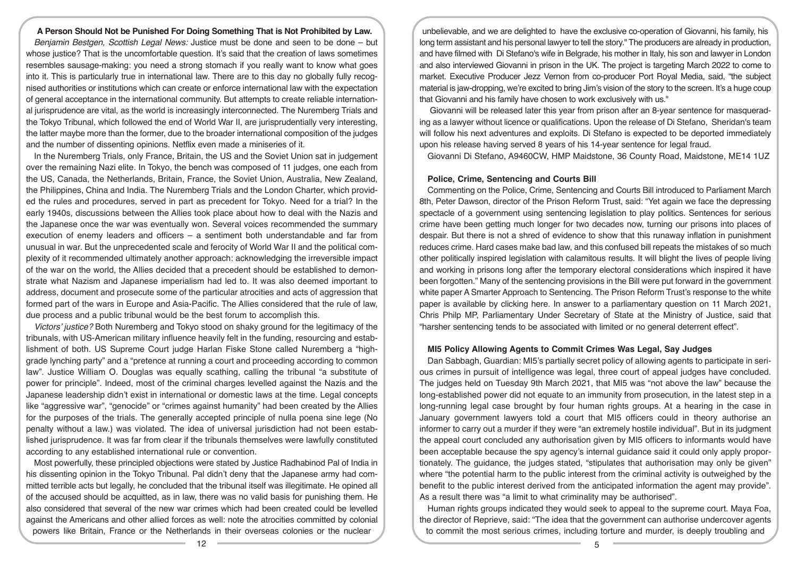# **A Person Should Not be Punished For Doing Something That is Not Prohibited by Law.**

*Benjamin Bestgen, Scottish Legal News:* Justice must be done and seen to be done – but whose justice? That is the uncomfortable question. It's said that the creation of laws sometimes resembles sausage-making: you need a strong stomach if you really want to know what goes into it. This is particularly true in international law. There are to this day no globally fully recognised authorities or institutions which can create or enforce international law with the expectation of general acceptance in the international community. But attempts to create reliable international jurisprudence are vital, as the world is increasingly interconnected. The Nuremberg Trials and the Tokyo Tribunal, which followed the end of World War II, are jurisprudentially very interesting, the latter maybe more than the former, due to the broader international composition of the judges and the number of dissenting opinions. Netflix even made a miniseries of it.

In the Nuremberg Trials, only France, Britain, the US and the Soviet Union sat in judgement over the remaining Nazi elite. In Tokyo, the bench was composed of 11 judges, one each from the US, Canada, the Netherlands, Britain, France, the Soviet Union, Australia, New Zealand, the Philippines, China and India. The Nuremberg Trials and the London Charter, which provided the rules and procedures, served in part as precedent for Tokyo. Need for a trial? In the early 1940s, discussions between the Allies took place about how to deal with the Nazis and the Japanese once the war was eventually won. Several voices recommended the summary execution of enemy leaders and officers – a sentiment both understandable and far from unusual in war. But the unprecedented scale and ferocity of World War II and the political complexity of it recommended ultimately another approach: acknowledging the irreversible impact of the war on the world, the Allies decided that a precedent should be established to demonstrate what Nazism and Japanese imperialism had led to. It was also deemed important to address, document and prosecute some of the particular atrocities and acts of aggression that formed part of the wars in Europe and Asia-Pacific. The Allies considered that the rule of law, due process and a public tribunal would be the best forum to accomplish this.

*Victors' justice?* Both Nuremberg and Tokyo stood on shaky ground for the legitimacy of the tribunals, with US-American military influence heavily felt in the funding, resourcing and establishment of both. US Supreme Court judge Harlan Fiske Stone called Nuremberg a "highgrade lynching party" and a "pretence at running a court and proceeding according to common law". Justice William O. Douglas was equally scathing, calling the tribunal "a substitute of power for principle". Indeed, most of the criminal charges levelled against the Nazis and the Japanese leadership didn't exist in international or domestic laws at the time. Legal concepts like "aggressive war", "genocide" or "crimes against humanity" had been created by the Allies for the purposes of the trials. The generally accepted principle of nulla poena sine lege (No penalty without a law.) was violated. The idea of universal jurisdiction had not been established jurisprudence. It was far from clear if the tribunals themselves were lawfully constituted according to any established international rule or convention.

Most powerfully, these principled objections were stated by Justice Radhabinod Pal of India in his dissenting opinion in the Tokyo Tribunal. Pal didn't deny that the Japanese army had committed terrible acts but legally, he concluded that the tribunal itself was illegitimate. He opined all of the accused should be acquitted, as in law, there was no valid basis for punishing them. He also considered that several of the new war crimes which had been created could be levelled against the Americans and other allied forces as well: note the atrocities committed by colonial powers like Britain, France or the Netherlands in their overseas colonies or the nuclear

unbelievable, and we are delighted to have the exclusive co-operation of Giovanni, his family, his long term assistant and his personal lawyer to tell the story." The producers are already in production, and have filmed with Di Stefano's wife in Belgrade, his mother in Italy, his son and lawyer in London and also interviewed Giovanni in prison in the UK. The project is targeting March 2022 to come to market. Executive Producer Jezz Vernon from co-producer Port Royal Media, said, "the subject material is jaw-dropping, we're excited to bring Jim's vision of the story to the screen. It's a huge coup that Giovanni and his family have chosen to work exclusively with us."

 Giovanni will be released later this year from prison after an 8-year sentence for masquerading as a lawyer without licence or qualifications. Upon the release of Di Stefano, Sheridan's team will follow his next adventures and exploits. Di Stefano is expected to be deported immediately upon his release having served 8 years of his 14-year sentence for legal fraud.

Giovanni Di Stefano, A9460CW, HMP Maidstone, 36 County Road, Maidstone, ME14 1UZ

## **Police, Crime, Sentencing and Courts Bill**

Commenting on the Police, Crime, Sentencing and Courts Bill introduced to Parliament March 8th, Peter Dawson, director of the Prison Reform Trust, said: "Yet again we face the depressing spectacle of a government using sentencing legislation to play politics. Sentences for serious crime have been getting much longer for two decades now, turning our prisons into places of despair. But there is not a shred of evidence to show that this runaway inflation in punishment reduces crime. Hard cases make bad law, and this confused bill repeats the mistakes of so much other politically inspired legislation with calamitous results. It will blight the lives of people living and working in prisons long after the temporary electoral considerations which inspired it have been forgotten." Many of the sentencing provisions in the Bill were put forward in the government white paper A Smarter Approach to Sentencing. The Prison Reform Trust's response to the white paper is available by clicking here. In answer to a parliamentary question on 11 March 2021, Chris Philp MP, Parliamentary Under Secretary of State at the Ministry of Justice, said that "harsher sentencing tends to be associated with limited or no general deterrent effect".

# **MI5 Policy Allowing Agents to Commit Crimes Was Legal, Say Judges**

Dan Sabbagh, Guardian: MI5's partially secret policy of allowing agents to participate in serious crimes in pursuit of intelligence was legal, three court of appeal judges have concluded. The judges held on Tuesday 9th March 2021, that MI5 was "not above the law" because the long-established power did not equate to an immunity from prosecution, in the latest step in a long-running legal case brought by four human rights groups. At a hearing in the case in January government lawyers told a court that MI5 officers could in theory authorise an informer to carry out a murder if they were "an extremely hostile individual". But in its judgment the appeal court concluded any authorisation given by MI5 officers to informants would have been acceptable because the spy agency's internal guidance said it could only apply proportionately. The guidance, the judges stated, "stipulates that authorisation may only be given" where "the potential harm to the public interest from the criminal activity is outweighed by the benefit to the public interest derived from the anticipated information the agent may provide". As a result there was "a limit to what criminality may be authorised".

Human rights groups indicated they would seek to appeal to the supreme court. Maya Foa, the director of Reprieve, said: "The idea that the government can authorise undercover agents to commit the most serious crimes, including torture and murder, is deeply troubling and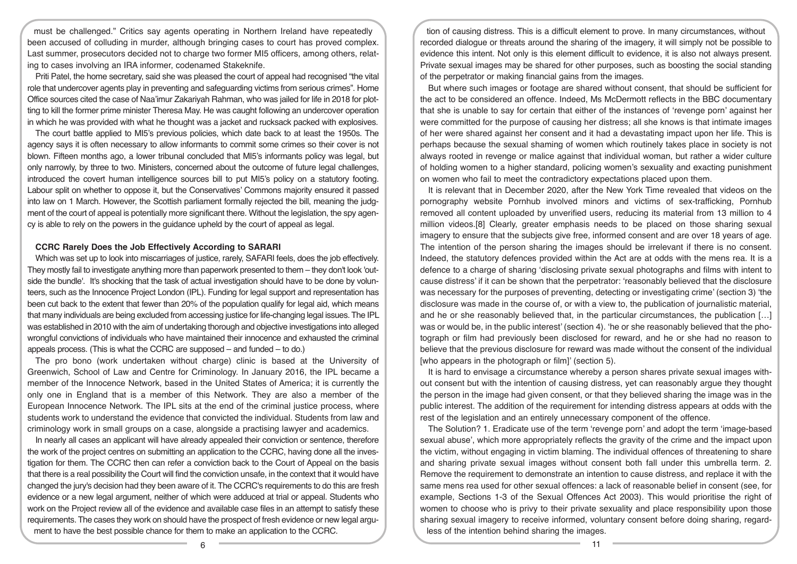must be challenged." Critics say agents operating in Northern Ireland have repeatedly been accused of colluding in murder, although bringing cases to court has proved complex. Last summer, prosecutors decided not to charge two former MI5 officers, among others, relating to cases involving an IRA informer, codenamed Stakeknife.

Priti Patel, the home secretary, said she was pleased the court of appeal had recognised "the vital role that undercover agents play in preventing and safeguarding victims from serious crimes". Home Office sources cited the case of Naa'imur Zakariyah Rahman, who was jailed for life in 2018 for plotting to kill the former prime minister Theresa May. He was caught following an undercover operation in which he was provided with what he thought was a jacket and rucksack packed with explosives.

The court battle applied to MI5's previous policies, which date back to at least the 1950s. The agency says it is often necessary to allow informants to commit some crimes so their cover is not blown. Fifteen months ago, a lower tribunal concluded that MI5's informants policy was legal, but only narrowly, by three to two. Ministers, concerned about the outcome of future legal challenges, introduced the covert human intelligence sources bill to put MI5's policy on a statutory footing. Labour split on whether to oppose it, but the Conservatives' Commons majority ensured it passed into law on 1 March. However, the Scottish parliament formally rejected the bill, meaning the judgment of the court of appeal is potentially more significant there. Without the legislation, the spy agency is able to rely on the powers in the guidance upheld by the court of appeal as legal.

#### **CCRC Rarely Does the Job Effectively According to SARARI**

Which was set up to look into miscarriages of justice, rarely, SAFARI feels, does the job effectively. They mostly fail to investigate anything more than paperwork presented to them – they don't look 'outside the bundle'. It's shocking that the task of actual investigation should have to be done by volunteers, such as the Innocence Project London (IPL). Funding for legal support and representation has been cut back to the extent that fewer than 20% of the population qualify for legal aid, which means that many individuals are being excluded from accessing justice for life-changing legal issues. The IPL was established in 2010 with the aim of undertaking thorough and objective investigations into alleged wrongful convictions of individuals who have maintained their innocence and exhausted the criminal appeals process. (This is what the CCRC are supposed – and funded – to do.)

The pro bono (work undertaken without charge) clinic is based at the University of Greenwich, School of Law and Centre for Criminology. In January 2016, the IPL became a member of the Innocence Network, based in the United States of America; it is currently the only one in England that is a member of this Network. They are also a member of the European Innocence Network. The IPL sits at the end of the criminal justice process, where students work to understand the evidence that convicted the individual. Students from law and criminology work in small groups on a case, alongside a practising lawyer and academics.

In nearly all cases an applicant will have already appealed their conviction or sentence, therefore the work of the project centres on submitting an application to the CCRC, having done all the investigation for them. The CCRC then can refer a conviction back to the Court of Appeal on the basis that there is a real possibility the Court will find the conviction unsafe, in the context that it would have changed the jury's decision had they been aware of it. The CCRC's requirements to do this are fresh evidence or a new legal argument, neither of which were adduced at trial or appeal. Students who work on the Project review all of the evidence and available case files in an attempt to satisfy these requirements. The cases they work on should have the prospect of fresh evidence or new legal argument to have the best possible chance for them to make an application to the CCRC.

tion of causing distress. This is a difficult element to prove. In many circumstances, without recorded dialogue or threats around the sharing of the imagery, it will simply not be possible to evidence this intent. Not only is this element difficult to evidence, it is also not always present. Private sexual images may be shared for other purposes, such as boosting the social standing of the perpetrator or making financial gains from the images.

But where such images or footage are shared without consent, that should be sufficient for the act to be considered an offence. Indeed, Ms McDermott reflects in the BBC documentary that she is unable to say for certain that either of the instances of 'revenge porn' against her were committed for the purpose of causing her distress; all she knows is that intimate images of her were shared against her consent and it had a devastating impact upon her life. This is perhaps because the sexual shaming of women which routinely takes place in society is not always rooted in revenge or malice against that individual woman, but rather a wider culture of holding women to a higher standard, policing women's sexuality and exacting punishment on women who fail to meet the contradictory expectations placed upon them.

It is relevant that in December 2020, after the New York Time revealed that videos on the pornography website Pornhub involved minors and victims of sex-trafficking, Pornhub removed all content uploaded by unverified users, reducing its material from 13 million to 4 million videos.[8] Clearly, greater emphasis needs to be placed on those sharing sexual imagery to ensure that the subjects give free, informed consent and are over 18 years of age. The intention of the person sharing the images should be irrelevant if there is no consent. Indeed, the statutory defences provided within the Act are at odds with the mens rea. It is a defence to a charge of sharing 'disclosing private sexual photographs and films with intent to cause distress' if it can be shown that the perpetrator: 'reasonably believed that the disclosure was necessary for the purposes of preventing, detecting or investigating crime' (section 3) 'the disclosure was made in the course of, or with a view to, the publication of journalistic material, and he or she reasonably believed that, in the particular circumstances, the publication […] was or would be, in the public interest' (section 4). 'he or she reasonably believed that the photograph or film had previously been disclosed for reward, and he or she had no reason to believe that the previous disclosure for reward was made without the consent of the individual [who appears in the photograph or film]' (section 5).

It is hard to envisage a circumstance whereby a person shares private sexual images without consent but with the intention of causing distress, yet can reasonably argue they thought the person in the image had given consent, or that they believed sharing the image was in the public interest. The addition of the requirement for intending distress appears at odds with the rest of the legislation and an entirely unnecessary component of the offence.

The Solution? 1. Eradicate use of the term 'revenge porn' and adopt the term 'image-based sexual abuse', which more appropriately reflects the gravity of the crime and the impact upon the victim, without engaging in victim blaming. The individual offences of threatening to share and sharing private sexual images without consent both fall under this umbrella term. 2. Remove the requirement to demonstrate an intention to cause distress, and replace it with the same mens rea used for other sexual offences: a lack of reasonable belief in consent (see, for example, Sections 1-3 of the Sexual Offences Act 2003). This would prioritise the right of women to choose who is privy to their private sexuality and place responsibility upon those sharing sexual imagery to receive informed, voluntary consent before doing sharing, regardless of the intention behind sharing the images.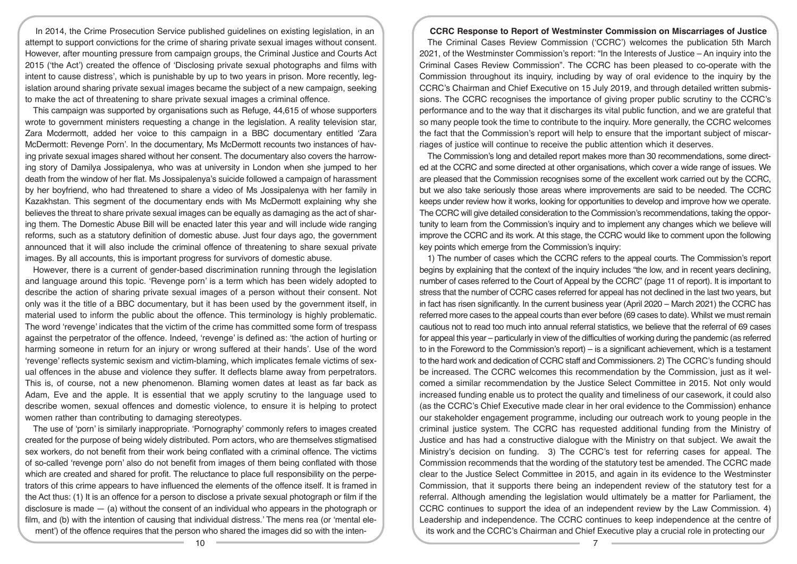In 2014, the Crime Prosecution Service published guidelines on existing legislation, in an attempt to support convictions for the crime of sharing private sexual images without consent. However, after mounting pressure from campaign groups, the Criminal Justice and Courts Act 2015 ('the Act') created the offence of 'Disclosing private sexual photographs and films with intent to cause distress', which is punishable by up to two years in prison. More recently, legislation around sharing private sexual images became the subject of a new campaign, seeking to make the act of threatening to share private sexual images a criminal offence.

This campaign was supported by organisations such as Refuge, 44,615 of whose supporters wrote to government ministers requesting a change in the legislation. A reality television star, Zara Mcdermott, added her voice to this campaign in a BBC documentary entitled 'Zara McDermott: Revenge Porn'. In the documentary, Ms McDermott recounts two instances of having private sexual images shared without her consent. The documentary also covers the harrowing story of Damilya Jossipalenya, who was at university in London when she jumped to her death from the window of her flat. Ms Jossipalenya's suicide followed a campaign of harassment by her boyfriend, who had threatened to share a video of Ms Jossipalenya with her family in Kazakhstan. This segment of the documentary ends with Ms McDermott explaining why she believes the threat to share private sexual images can be equally as damaging as the act of sharing them. The Domestic Abuse Bill will be enacted later this year and will include wide ranging reforms, such as a statutory definition of domestic abuse. Just four days ago, the government announced that it will also include the criminal offence of threatening to share sexual private images. By all accounts, this is important progress for survivors of domestic abuse.

However, there is a current of gender-based discrimination running through the legislation and language around this topic. 'Revenge porn' is a term which has been widely adopted to describe the action of sharing private sexual images of a person without their consent. Not only was it the title of a BBC documentary, but it has been used by the government itself, in material used to inform the public about the offence. This terminology is highly problematic. The word 'revenge' indicates that the victim of the crime has committed some form of trespass against the perpetrator of the offence. Indeed, 'revenge' is defined as: 'the action of hurting or harming someone in return for an injury or wrong suffered at their hands'. Use of the word 'revenge' reflects systemic sexism and victim-blaming, which implicates female victims of sexual offences in the abuse and violence they suffer. It deflects blame away from perpetrators. This is, of course, not a new phenomenon. Blaming women dates at least as far back as Adam, Eve and the apple. It is essential that we apply scrutiny to the language used to describe women, sexual offences and domestic violence, to ensure it is helping to protect women rather than contributing to damaging stereotypes.

The use of 'porn' is similarly inappropriate. 'Pornography' commonly refers to images created created for the purpose of being widely distributed. Porn actors, who are themselves stigmatised sex workers, do not benefit from their work being conflated with a criminal offence. The victims of so-called 'revenge porn' also do not benefit from images of them being conflated with those which are created and shared for profit. The reluctance to place full responsibility on the perpetrators of this crime appears to have influenced the elements of the offence itself. It is framed in the Act thus: (1) It is an offence for a person to disclose a private sexual photograph or film if the disclosure is made  $-$  (a) without the consent of an individual who appears in the photograph or film, and (b) with the intention of causing that individual distress.' The mens rea (or 'mental element') of the offence requires that the person who shared the images did so with the inten-

#### **CCRC Response to Report of Westminster Commission on Miscarriages of Justice**

The Criminal Cases Review Commission ('CCRC') welcomes the publication 5th March 2021, of the Westminster Commission's report: "In the Interests of Justice – An inquiry into the Criminal Cases Review Commission". The CCRC has been pleased to co-operate with the Commission throughout its inquiry, including by way of oral evidence to the inquiry by the CCRC's Chairman and Chief Executive on 15 July 2019, and through detailed written submissions. The CCRC recognises the importance of giving proper public scrutiny to the CCRC's performance and to the way that it discharges its vital public function, and we are grateful that so many people took the time to contribute to the inquiry. More generally, the CCRC welcomes the fact that the Commission's report will help to ensure that the important subject of miscarriages of justice will continue to receive the public attention which it deserves.

The Commission's long and detailed report makes more than 30 recommendations, some directed at the CCRC and some directed at other organisations, which cover a wide range of issues. We are pleased that the Commission recognises some of the excellent work carried out by the CCRC, but we also take seriously those areas where improvements are said to be needed. The CCRC keeps under review how it works, looking for opportunities to develop and improve how we operate. The CCRC will give detailed consideration to the Commission's recommendations, taking the opportunity to learn from the Commission's inquiry and to implement any changes which we believe will improve the CCRC and its work. At this stage, the CCRC would like to comment upon the following key points which emerge from the Commission's inquiry:

1) The number of cases which the CCRC refers to the appeal courts. The Commission's report begins by explaining that the context of the inquiry includes "the low, and in recent years declining, number of cases referred to the Court of Appeal by the CCRC" (page 11 of report). It is important to stress that the number of CCRC cases referred for appeal has not declined in the last two years, but in fact has risen significantly. In the current business year (April 2020 – March 2021) the CCRC has referred more cases to the appeal courts than ever before (69 cases to date). Whilst we must remain cautious not to read too much into annual referral statistics, we believe that the referral of 69 cases for appeal this year – particularly in view of the difficulties of working during the pandemic (as referred to in the Foreword to the Commission's report) – is a significant achievement, which is a testament to the hard work and dedication of CCRC staff and Commissioners. 2) The CCRC's funding should be increased. The CCRC welcomes this recommendation by the Commission, just as it welcomed a similar recommendation by the Justice Select Committee in 2015. Not only would increased funding enable us to protect the quality and timeliness of our casework, it could also (as the CCRC's Chief Executive made clear in her oral evidence to the Commission) enhance our stakeholder engagement programme, including our outreach work to young people in the criminal justice system. The CCRC has requested additional funding from the Ministry of Justice and has had a constructive dialogue with the Ministry on that subject. We await the Ministry's decision on funding. 3) The CCRC's test for referring cases for appeal. The Commission recommends that the wording of the statutory test be amended. The CCRC made clear to the Justice Select Committee in 2015, and again in its evidence to the Westminster Commission, that it supports there being an independent review of the statutory test for a referral. Although amending the legislation would ultimately be a matter for Parliament, the CCRC continues to support the idea of an independent review by the Law Commission. 4) Leadership and independence. The CCRC continues to keep independence at the centre of its work and the CCRC's Chairman and Chief Executive play a crucial role in protecting our